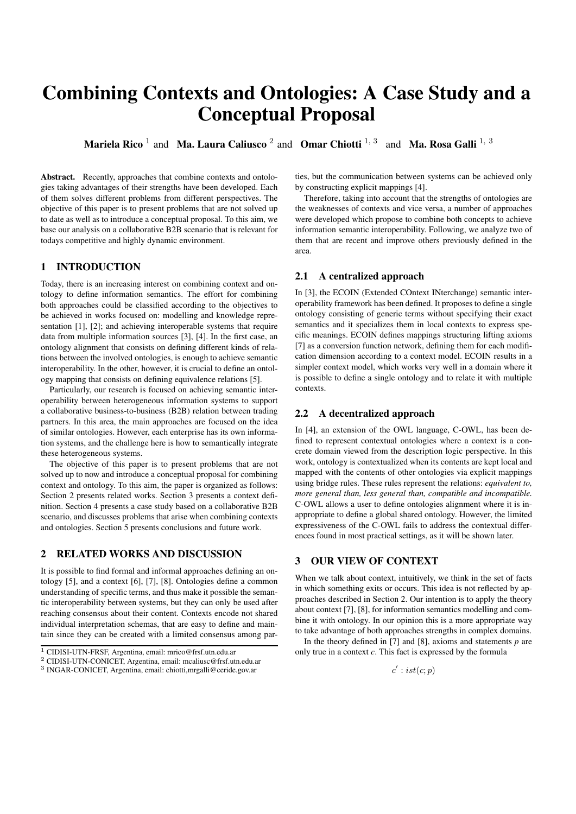# Combining Contexts and Ontologies: A Case Study and a Conceptual Proposal

**Mariela Rico** <sup>1</sup> and **Ma. Laura Caliusco** <sup>2</sup> and **Omar Chiotti** <sup>1, 3</sup> and **Ma. Rosa Galli**  $^{1, 3}$ 

Abstract. Recently, approaches that combine contexts and ontologies taking advantages of their strengths have been developed. Each of them solves different problems from different perspectives. The objective of this paper is to present problems that are not solved up to date as well as to introduce a conceptual proposal. To this aim, we base our analysis on a collaborative B2B scenario that is relevant for todays competitive and highly dynamic environment.

# 1 INTRODUCTION

Today, there is an increasing interest on combining context and ontology to define information semantics. The effort for combining both approaches could be classified according to the objectives to be achieved in works focused on: modelling and knowledge representation [1], [2]; and achieving interoperable systems that require data from multiple information sources [3], [4]. In the first case, an ontology alignment that consists on defining different kinds of relations between the involved ontologies, is enough to achieve semantic interoperability. In the other, however, it is crucial to define an ontology mapping that consists on defining equivalence relations [5].

Particularly, our research is focused on achieving semantic interoperability between heterogeneous information systems to support a collaborative business-to-business (B2B) relation between trading partners. In this area, the main approaches are focused on the idea of similar ontologies. However, each enterprise has its own information systems, and the challenge here is how to semantically integrate these heterogeneous systems.

The objective of this paper is to present problems that are not solved up to now and introduce a conceptual proposal for combining context and ontology. To this aim, the paper is organized as follows: Section 2 presents related works. Section 3 presents a context definition. Section 4 presents a case study based on a collaborative B2B scenario, and discusses problems that arise when combining contexts and ontologies. Section 5 presents conclusions and future work.

#### 2 RELATED WORKS AND DISCUSSION

It is possible to find formal and informal approaches defining an ontology [5], and a context [6], [7], [8]. Ontologies define a common understanding of specific terms, and thus make it possible the semantic interoperability between systems, but they can only be used after reaching consensus about their content. Contexts encode not shared individual interpretation schemas, that are easy to define and maintain since they can be created with a limited consensus among parties, but the communication between systems can be achieved only by constructing explicit mappings [4].

Therefore, taking into account that the strengths of ontologies are the weaknesses of contexts and vice versa, a number of approaches were developed which propose to combine both concepts to achieve information semantic interoperability. Following, we analyze two of them that are recent and improve others previously defined in the area.

#### 2.1 A centralized approach

In [3], the ECOIN (Extended COntext INterchange) semantic interoperability framework has been defined. It proposes to define a single ontology consisting of generic terms without specifying their exact semantics and it specializes them in local contexts to express specific meanings. ECOIN defines mappings structuring lifting axioms [7] as a conversion function network, defining them for each modification dimension according to a context model. ECOIN results in a simpler context model, which works very well in a domain where it is possible to define a single ontology and to relate it with multiple contexts.

#### 2.2 A decentralized approach

In [4], an extension of the OWL language, C-OWL, has been defined to represent contextual ontologies where a context is a concrete domain viewed from the description logic perspective. In this work, ontology is contextualized when its contents are kept local and mapped with the contents of other ontologies via explicit mappings using bridge rules. These rules represent the relations: *equivalent to, more general than, less general than, compatible and incompatible.* C-OWL allows a user to define ontologies alignment where it is inappropriate to define a global shared ontology. However, the limited expressiveness of the C-OWL fails to address the contextual differences found in most practical settings, as it will be shown later.

#### 3 OUR VIEW OF CONTEXT

When we talk about context, intuitively, we think in the set of facts in which something exits or occurs. This idea is not reflected by approaches described in Section 2. Our intention is to apply the theory about context [7], [8], for information semantics modelling and combine it with ontology. In our opinion this is a more appropriate way to take advantage of both approaches strengths in complex domains.

In the theory defined in [7] and [8], axioms and statements *p* are only true in a context *c*. This fact is expressed by the formula

 $c' : ist(c; p)$ 

<sup>1</sup> CIDISI-UTN-FRSF, Argentina, email: mrico@frsf.utn.edu.ar

<sup>2</sup> CIDISI-UTN-CONICET, Argentina, email: mcaliusc@frsf.utn.edu.ar

<sup>3</sup> INGAR-CONICET, Argentina, email: chiotti,mrgalli@ceride.gov.ar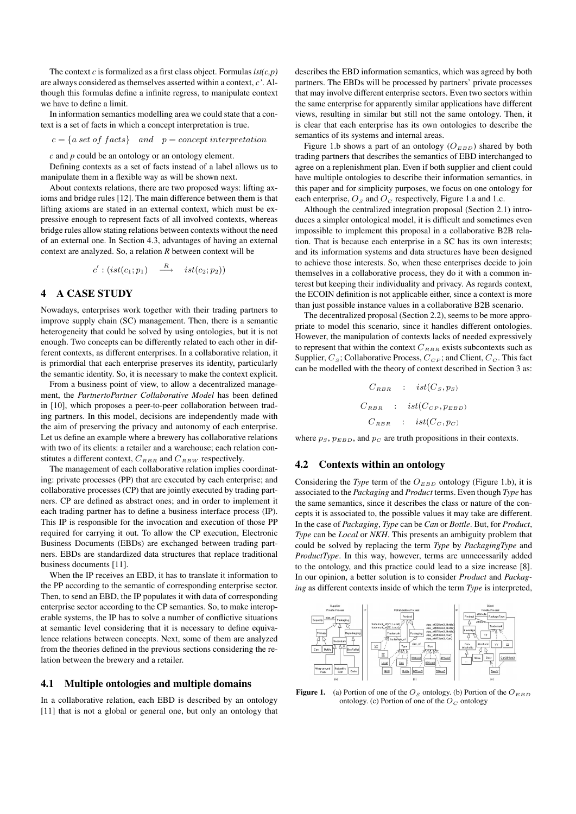The context  $c$  is formalized as a first class object. Formulas  $ist(c, p)$ are always considered as themselves asserted within a context, *c'*. Although this formulas define a infinite regress, to manipulate context we have to define a limit.

In information semantics modelling area we could state that a context is a set of facts in which a concept interpretation is true.

 $c = \{a \text{ set of } facts\}$  and  $p = concept \text{ interpretation}$ 

*c* and *p* could be an ontology or an ontology element.

Defining contexts as a set of facts instead of a label allows us to manipulate them in a flexible way as will be shown next.

About contexts relations, there are two proposed ways: lifting axioms and bridge rules [12]. The main difference between them is that lifting axioms are stated in an external context, which must be expressive enough to represent facts of all involved contexts, whereas bridge rules allow stating relations between contexts without the need of an external one. In Section 4.3, advantages of having an external context are analyzed. So, a relation *R* between context will be

$$
c': (ist(c_1; p_1) \xrightarrow{R} ist(c_2; p_2))
$$

# 4 A CASE STUDY

Nowadays, enterprises work together with their trading partners to improve supply chain (SC) management. Then, there is a semantic heterogeneity that could be solved by using ontologies, but it is not enough. Two concepts can be differently related to each other in different contexts, as different enterprises. In a collaborative relation, it is primordial that each enterprise preserves its identity, particularly the semantic identity. So, it is necessary to make the context explicit.

From a business point of view, to allow a decentralized management, the *PartnertoPartner Collaborative Model* has been defined in [10], which proposes a peer-to-peer collaboration between trading partners. In this model, decisions are independently made with the aim of preserving the privacy and autonomy of each enterprise. Let us define an example where a brewery has collaborative relations with two of its clients: a retailer and a warehouse; each relation constitutes a different context,  $C_{RBR}$  and  $C_{RBW}$  respectively.

The management of each collaborative relation implies coordinating: private processes (PP) that are executed by each enterprise; and collaborative processes (CP) that are jointly executed by trading partners. CP are defined as abstract ones; and in order to implement it each trading partner has to define a business interface process (IP). This IP is responsible for the invocation and execution of those PP required for carrying it out. To allow the CP execution, Electronic Business Documents (EBDs) are exchanged between trading partners. EBDs are standardized data structures that replace traditional business documents [11].

When the IP receives an EBD, it has to translate it information to the PP according to the semantic of corresponding enterprise sector. Then, to send an EBD, the IP populates it with data of corresponding enterprise sector according to the CP semantics. So, to make interoperable systems, the IP has to solve a number of conflictive situations at semantic level considering that it is necessary to define equivalence relations between concepts. Next, some of them are analyzed from the theories defined in the previous sections considering the relation between the brewery and a retailer.

# 4.1 Multiple ontologies and multiple domains

In a collaborative relation, each EBD is described by an ontology [11] that is not a global or general one, but only an ontology that describes the EBD information semantics, which was agreed by both partners. The EBDs will be processed by partners' private processes that may involve different enterprise sectors. Even two sectors within the same enterprise for apparently similar applications have different views, resulting in similar but still not the same ontology. Then, it is clear that each enterprise has its own ontologies to describe the semantics of its systems and internal areas.

Figure 1.b shows a part of an ontology ( $O_{EBD}$ ) shared by both trading partners that describes the semantics of EBD interchanged to agree on a replenishment plan. Even if both supplier and client could have multiple ontologies to describe their information semantics, in this paper and for simplicity purposes, we focus on one ontology for each enterprise,  $O<sub>S</sub>$  and  $O<sub>C</sub>$  respectively, Figure 1.a and 1.c.

Although the centralized integration proposal (Section 2.1) introduces a simpler ontological model, it is difficult and sometimes even impossible to implement this proposal in a collaborative B2B relation. That is because each enterprise in a SC has its own interests; and its information systems and data structures have been designed to achieve those interests. So, when these enterprises decide to join themselves in a collaborative process, they do it with a common interest but keeping their individuality and privacy. As regards context, the ECOIN definition is not applicable either, since a context is more than just possible instance values in a collaborative B2B scenario.

The decentralized proposal (Section 2.2), seems to be more appropriate to model this scenario, since it handles different ontologies. However, the manipulation of contexts lacks of needed expressively to represent that within the context  $\boldsymbol{C}_{RBR}$  exists subcontexts such as Supplier,  $C_S$ ; Collaborative Process,  $C_{CP}$ ; and Client,  $C_C$ . This fact can be modelled with the theory of context described in Section 3 as:

> $C_{RBR}$  :  $ist(C_S, p_S)$  $C_{RBR}$  :  $ist(C_{CP}, p_{EBD})$  $C_{RBR}$  :  $ist(C_C, p_C)$

where  $p_S, p_{EBD}$ , and  $p_C$  are truth propositions in their contexts.

# 4.2 Contexts within an ontology

Considering the *Type* term of the  $O_{EBD}$  ontology (Figure 1.b), it is associated to the *Packaging* and *Product* terms. Even though *Type* has the same semantics, since it describes the class or nature of the concepts it is associated to, the possible values it may take are different. In the case of *Packaging*, *Type* can be *Can* or *Bottle*. But, for *Product*, *Type* can be *Local* or *NKH*. This presents an ambiguity problem that could be solved by replacing the term *Type* by *PackagingType* and *ProductType*. In this way, however, terms are unnecessarily added to the ontology, and this practice could lead to a size increase [8]. In our opinion, a better solution is to consider *Product* and *Packaging* as different contexts inside of which the term *Type* is interpreted,



Figure 1. (a) Portion of one of the  $O<sub>S</sub>$  ontology. (b) Portion of the  $O<sub>EBD</sub>$ ontology. (c) Portion of one of the  $O<sub>C</sub>$  ontology